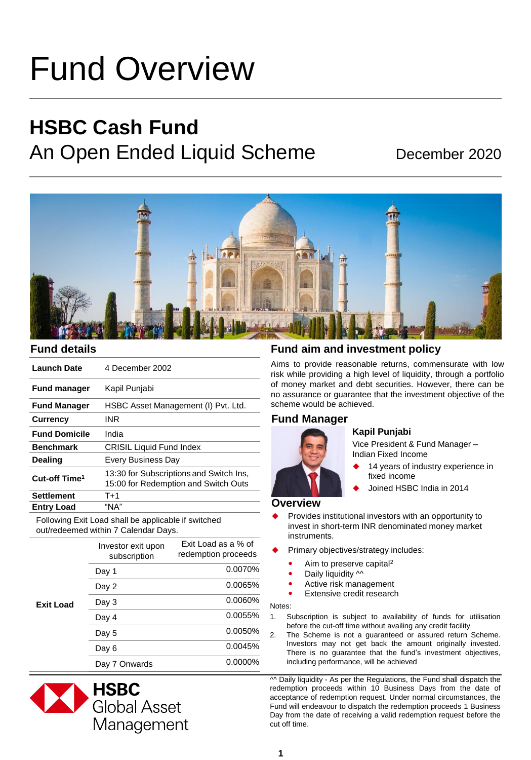# Fund Overview

## **HSBC Cash Fund** An Open Ended Liquid Scheme December 2020



| <b>Launch Date</b>        | 4 December 2002                                                                 |
|---------------------------|---------------------------------------------------------------------------------|
| <b>Fund manager</b>       | Kapil Punjabi                                                                   |
| <b>Fund Manager</b>       | HSBC Asset Management (I) Pvt. Ltd.                                             |
| <b>Currency</b>           | INR                                                                             |
| <b>Fund Domicile</b>      | India                                                                           |
| <b>Benchmark</b>          | <b>CRISIL Liquid Fund Index</b>                                                 |
| <b>Dealing</b>            | Every Business Day                                                              |
| Cut-off Time <sup>1</sup> | 13:30 for Subscriptions and Switch Ins.<br>15:00 for Redemption and Switch Outs |
| <b>Settlement</b>         | T+1                                                                             |
| <b>Entry Load</b>         | "NA"                                                                            |

Following Exit Load shall be applicable if switched out/redeemed within 7 Calendar Days.

|                  | Investor exit upon<br>subscription | Exit Load as a % of<br>redemption proceeds |
|------------------|------------------------------------|--------------------------------------------|
| <b>Exit Load</b> | Day 1                              | 0.0070%                                    |
|                  | Day 2                              | 0.0065%                                    |
|                  | Day 3                              | 0.0060%                                    |
|                  | Day 4                              | $0.0055\%$                                 |
|                  | Day 5                              | 0.0050%                                    |
|                  | Day 6                              | 0.0045%                                    |
|                  | Day 7 Onwards                      | $0.0000\%$                                 |



#### **Fund details Fund aim and investment policy**

Aims to provide reasonable returns, commensurate with low risk while providing a high level of liquidity, through a portfolio of money market and debt securities. However, there can be no assurance or guarantee that the investment objective of the scheme would be achieved.

#### **Fund Manager**



#### **Kapil Punjabi**

Vice President & Fund Manager – Indian Fixed Income

- 14 years of industry experience in fixed income
- Joined HSBC India in 2014

#### **Overview**

- Provides institutional investors with an opportunity to invest in short-term INR denominated money market instruments.
- Primary objectives/strategy includes:
	- Aim to preserve capital<sup>2</sup>
	- Daily liquidity  $\sim$
	- Active risk management
	- Extensive credit research

Notes:

- 1. Subscription is subject to availability of funds for utilisation before the cut-off time without availing any credit facility
- 2. The Scheme is not a guaranteed or assured return Scheme. Investors may not get back the amount originally invested. There is no guarantee that the fund's investment objectives, including performance, will be achieved

 $\sim$  Daily liquidity - As per the Regulations, the Fund shall dispatch the redemption proceeds within 10 Business Days from the date of acceptance of redemption request. Under normal circumstances, the Fund will endeavour to dispatch the redemption proceeds 1 Business Day from the date of receiving a valid redemption request before the cut off time.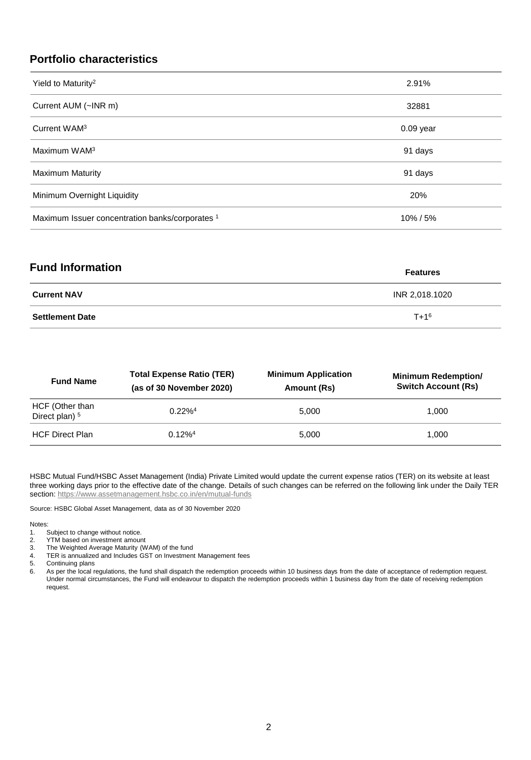### **Portfolio characteristics**

| Yield to Maturity <sup>2</sup>                  | 2.91%       |
|-------------------------------------------------|-------------|
| Current AUM (~INR m)                            | 32881       |
| Current WAM <sup>3</sup>                        | $0.09$ year |
| Maximum WAM <sup>3</sup>                        | 91 days     |
| <b>Maximum Maturity</b>                         | 91 days     |
| Minimum Overnight Liquidity                     | 20%         |
| Maximum Issuer concentration banks/corporates 1 | 10%/5%      |

| <b>Fund Information</b> | <b>Features</b> |
|-------------------------|-----------------|
| <b>Current NAV</b>      | INR 2,018.1020  |
| <b>Settlement Date</b>  | $T + 1^6$       |

| <b>Fund Name</b>                             | <b>Total Expense Ratio (TER)</b><br>(as of 30 November 2020) | <b>Minimum Application</b><br>Amount (Rs) | <b>Minimum Redemption/</b><br><b>Switch Account (Rs)</b> |
|----------------------------------------------|--------------------------------------------------------------|-------------------------------------------|----------------------------------------------------------|
| HCF (Other than<br>Direct plan) <sup>5</sup> | $0.22\%$ <sup>4</sup>                                        | 5.000                                     | 1.000                                                    |
| <b>HCF Direct Plan</b>                       | 0.12% <sup>4</sup>                                           | 5.000                                     | 1.000                                                    |

HSBC Mutual Fund/HSBC Asset Management (India) Private Limited would update the current expense ratios (TER) on its website at least three working days prior to the effective date of the change. Details of such changes can be referred on the following link under the Daily TER section:<https://www.assetmanagement.hsbc.co.in/en/mutual-funds>

Source: HSBC Global Asset Management, data as of 30 November 2020

#### Notes:

1. Subject to change without notice.<br>2. YTM based on investment amour

- 2. YTM based on investment amount<br>3. The Weighted Average Maturity (W
- 3. The Weighted Average Maturity (WAM) of the fund
- 4. TER is annualized and Includes GST on Investment Management fees

5. Continuing plans

6. As per the local regulations, the fund shall dispatch the redemption proceeds within 10 business days from the date of acceptance of redemption request. Under normal circumstances, the Fund will endeavour to dispatch the redemption proceeds within 1 business day from the date of receiving redemption request.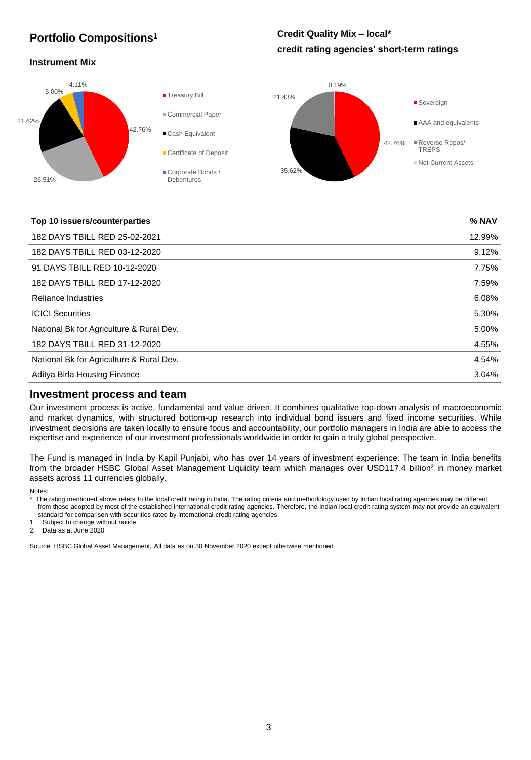## **Portfolio Compositions<sup>1</sup>**

### **Credit Quality Mix – local\* credit rating agencies' short-term ratings**

#### **Instrument Mix**



#### **Top 10 issuers/counterparties % NAV**

| 182 DAYS TBILL RED 25-02-2021            | 12.99% |
|------------------------------------------|--------|
| 182 DAYS TBILL RED 03-12-2020            | 9.12%  |
| 91 DAYS TBILL RED 10-12-2020             | 7.75%  |
| 182 DAYS TBILL RED 17-12-2020            | 7.59%  |
| <b>Reliance Industries</b>               | 6.08%  |
| <b>ICICI Securities</b>                  | 5.30%  |
| National Bk for Agriculture & Rural Dev. | 5.00%  |
| 182 DAYS TBILL RED 31-12-2020            | 4.55%  |
| National Bk for Agriculture & Rural Dev. | 4.54%  |
| Aditya Birla Housing Finance             | 3.04%  |
|                                          |        |

#### **Investment process and team**

Our investment process is active, fundamental and value driven. It combines qualitative top-down analysis of macroeconomic and market dynamics, with structured bottom-up research into individual bond issuers and fixed income securities. While investment decisions are taken locally to ensure focus and accountability, our portfolio managers in India are able to access the expertise and experience of our investment professionals worldwide in order to gain a truly global perspective.

The Fund is managed in India by Kapil Punjabi, who has over 14 years of investment experience. The team in India benefits from the broader HSBC Global Asset Management Liquidity team which manages over USD117.4 billion<sup>2</sup> in money market assets across 11 currencies globally.

Notes:

\* The rating mentioned above refers to the local credit rating in India. The rating criteria and methodology used by Indian local rating agencies may be different from those adopted by most of the established international credit rating agencies. Therefore, the Indian local credit rating system may not provide an equivalent standard for comparison with securities rated by international credit rating agencies.

1. Subject to change without notice.

2. Data as at June 2020

Source: HSBC Global Asset Management, All data as on 30 November 2020 except otherwise mentioned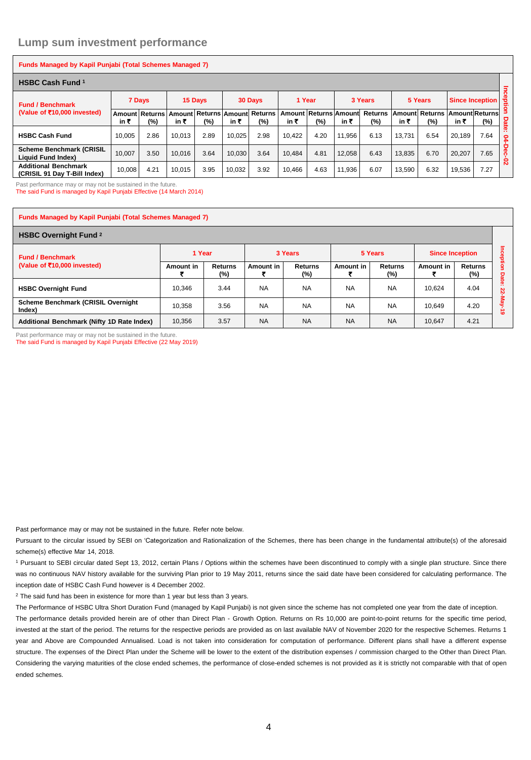#### **Lump sum investment performance**

| Funds Managed by Kapil Punjabi (Total Schemes Managed 7)    |        |                          |        |         |        |                                      |        |                              |        |                          |        |                              |                             |                        |                     |
|-------------------------------------------------------------|--------|--------------------------|--------|---------|--------|--------------------------------------|--------|------------------------------|--------|--------------------------|--------|------------------------------|-----------------------------|------------------------|---------------------|
| <b>HSBC Cash Fund 1</b>                                     |        |                          |        |         |        |                                      |        |                              |        |                          |        |                              |                             |                        |                     |
| <b>Fund / Benchmark</b><br>(Value of ₹10,000 invested)      | 7 Days |                          |        | 15 Days |        | 30 Days                              | 1 Year |                              |        | 3 Years                  |        | 5 Years                      |                             | <b>Since Inception</b> | Incepti<br>$\Omega$ |
|                                                             | in ₹   | Amount Returns<br>$(\%)$ | in ₹   | $(\% )$ | in ₹   | Amount Returns Amount Returns<br>(%) | in ₹   | Amount Returns Amount<br>(%) | in ₹   | <b>Returns</b><br>$(\%)$ | in ₹   | <b>Amount Returns</b><br>(%) | <b>AmountReturns</b><br>in₹ | (%)                    | Date                |
| <b>HSBC Cash Fund</b>                                       | 10.005 | 2.86                     | 10.013 | 2.89    | 10,025 | 2.98                                 | 10.422 | 4.20                         | 11.956 | 6.13                     | 13.731 | 6.54                         | 20.189                      | 7.64                   | $\cdot$ .<br>ደ      |
| <b>Scheme Benchmark (CRISIL</b><br>Liquid Fund Index)       | 10.007 | 3.50                     | 10.016 | 3.64    | 10,030 | 3.64                                 | 10.484 | 4.81                         | 12.058 | 6.43                     | 13,835 | 6.70                         | 20.207                      | 7.65                   | Dec-<br>Ò           |
| <b>Additional Benchmark</b><br>(CRISIL 91 Dav T-Bill Index) | 10,008 | 4.21                     | 10.015 | 3.95    | 10.032 | 3.92                                 | 10.466 | 4.63                         | 11.936 | 6.07                     | 13.590 | 6.32                         | 19,536                      | 7.27                   | $\mathbf{v}$        |

Past performance may or may not be sustained in the future.

The said Fund is managed by Kapil Punjabi Effective (14 March 2014)

#### **Funds Managed by Kapil Punjabi (Total Schemes Managed 7)**

| <b>HSBC Overnight Fund 2</b>                           |           |                       |           |                       |           |                       |                        |                       |            |
|--------------------------------------------------------|-----------|-----------------------|-----------|-----------------------|-----------|-----------------------|------------------------|-----------------------|------------|
| <b>Fund / Benchmark</b><br>(Value of ₹10,000 invested) | 1 Year    |                       |           | 3 Years               |           | 5 Years               | <b>Since Inception</b> |                       | Ξ<br>ဝ့    |
|                                                        | Amount in | <b>Returns</b><br>(%) | Amount in | <b>Returns</b><br>(%) | Amount in | <b>Returns</b><br>(%) | Amount in              | <b>Returns</b><br>(%) | ğtion      |
| <b>HSBC Overnight Fund</b>                             | 10.346    | 3.44                  | <b>NA</b> | <b>NA</b>             | <b>NA</b> | <b>NA</b>             | 10.624                 | 4.04                  | Date:<br>ន |
| <b>Scheme Benchmark (CRISIL Overnight</b><br>Index)    | 10.358    | 3.56                  | <b>NA</b> | <b>NA</b>             | <b>NA</b> | <b>NA</b>             | 10.649                 | 4.20                  | $\bullet$  |
| Additional Benchmark (Nifty 1D Rate Index)             | 10,356    | 3.57                  | <b>NA</b> | <b>NA</b>             | <b>NA</b> | <b>NA</b>             | 10.647                 | 4.21                  |            |

Past performance may or may not be sustained in the future. The said Fund is managed by Kapil Punjabi Effective (22 May 2019)

Past performance may or may not be sustained in the future. Refer note below.

Pursuant to the circular issued by SEBI on 'Categorization and Rationalization of the Schemes, there has been change in the fundamental attribute(s) of the aforesaid scheme(s) effective Mar 14, 2018.

<sup>1</sup> Pursuant to SEBI circular dated Sept 13, 2012, certain Plans / Options within the schemes have been discontinued to comply with a single plan structure. Since there was no continuous NAV history available for the surviving Plan prior to 19 May 2011, returns since the said date have been considered for calculating performance. The inception date of HSBC Cash Fund however is 4 December 2002.

<sup>2</sup> The said fund has been in existence for more than 1 year but less than 3 years.

The Performance of HSBC Ultra Short Duration Fund (managed by Kapil Punjabi) is not given since the scheme has not completed one year from the date of inception. The performance details provided herein are of other than Direct Plan - Growth Option. Returns on Rs 10,000 are point-to-point returns for the specific time period, invested at the start of the period. The returns for the respective periods are provided as on last available NAV of November 2020 for the respective Schemes. Returns 1 year and Above are Compounded Annualised. Load is not taken into consideration for computation of performance. Different plans shall have a different expense structure. The expenses of the Direct Plan under the Scheme will be lower to the extent of the distribution expenses / commission charged to the Other than Direct Plan. Considering the varying maturities of the close ended schemes, the performance of close-ended schemes is not provided as it is strictly not comparable with that of open ended schemes.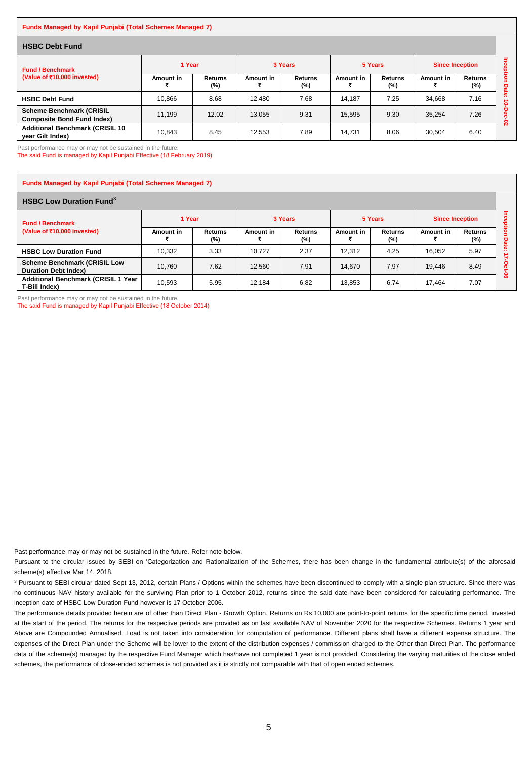#### **Funds Managed by Kapil Punjabi (Total Schemes Managed 7)**

| <b>HSBC Debt Fund</b>                                                |           |                          |           |                       |           |                       |                        |                       |                        |
|----------------------------------------------------------------------|-----------|--------------------------|-----------|-----------------------|-----------|-----------------------|------------------------|-----------------------|------------------------|
| <b>Fund / Benchmark</b><br>(Value of ₹10,000 invested)               | 1 Year    |                          |           | 3 Years               |           | 5 Years               | <b>Since Inception</b> |                       | Boa<br>햘               |
|                                                                      | Amount in | <b>Returns</b><br>$(\%)$ | Amount in | <b>Returns</b><br>(%) | Amount in | <b>Returns</b><br>(%) | Amount in              | <b>Returns</b><br>(%) | $\mathbf{S}$<br>o      |
| <b>HSBC Debt Fund</b>                                                | 10.866    | 8.68                     | 12.480    | 7.68                  | 14.187    | 7.25                  | 34.668                 | 7.16                  | <b>Mate</b><br>$\circ$ |
| <b>Scheme Benchmark (CRISIL</b><br><b>Composite Bond Fund Index)</b> | 11.199    | 12.02                    | 13.055    | 9.31                  | 15.595    | 9.30                  | 35.254                 | 7.26                  | $\circ$<br>ន           |
| <b>Additional Benchmark (CRISIL 10)</b><br>year Gilt Index)          | 10,843    | 8.45                     | 12.553    | 7.89                  | 14.731    | 8.06                  | 30,504                 | 6.40                  |                        |

Past performance may or may not be sustained in the future.

The said Fund is managed by Kapil Punjabi Effective (18 February 2019)

| <b>Funds Managed by Kapil Punjabi (Total Schemes Managed 7)</b>    |           |                          |           |                          |           |                       |                        |                       |        |  |  |
|--------------------------------------------------------------------|-----------|--------------------------|-----------|--------------------------|-----------|-----------------------|------------------------|-----------------------|--------|--|--|
| <b>HSBC Low Duration Fund</b> <sup>3</sup>                         |           |                          |           |                          |           |                       |                        |                       |        |  |  |
| <b>Fund / Benchmark</b><br>(Value of ₹10,000 invested)             | 1 Year    |                          | 3 Years   |                          | 5 Years   |                       | <b>Since Inception</b> |                       |        |  |  |
|                                                                    | Amount in | <b>Returns</b><br>$(\%)$ | Amount in | <b>Returns</b><br>$(\%)$ | Amount in | <b>Returns</b><br>(%) | Amount in              | <b>Returns</b><br>(%) | ō<br>σ |  |  |
| <b>HSBC Low Duration Fund</b>                                      | 10.332    | 3.33                     | 10.727    | 2.37                     | 12.312    | 4.25                  | 16,052                 | 5.97                  | $\sim$ |  |  |
| <b>Scheme Benchmark (CRISIL Low</b><br><b>Duration Debt Index)</b> | 10.760    | 7.62                     | 12.560    | 7.91                     | 14.670    | 7.97                  | 19,446                 | 8.49                  |        |  |  |
| <b>Additional Benchmark (CRISIL 1 Year</b><br>T-Bill Index)        | 10,593    | 5.95                     | 12.184    | 6.82                     | 13,853    | 6.74                  | 17.464                 | 7.07                  | ႙ၟ     |  |  |

Past performance may or may not be sustained in the future.

The said Fund is managed by Kapil Punjabi Effective (18 October 2014)

Past performance may or may not be sustained in the future. Refer note below.

Pursuant to the circular issued by SEBI on 'Categorization and Rationalization of the Schemes, there has been change in the fundamental attribute(s) of the aforesaid scheme(s) effective Mar 14, 2018.

<sup>3</sup> Pursuant to SEBI circular dated Sept 13, 2012, certain Plans / Options within the schemes have been discontinued to comply with a single plan structure. Since there was no continuous NAV history available for the surviving Plan prior to 1 October 2012, returns since the said date have been considered for calculating performance. The inception date of HSBC Low Duration Fund however is 17 October 2006.

The performance details provided herein are of other than Direct Plan - Growth Option. Returns on Rs.10,000 are point-to-point returns for the specific time period, invested at the start of the period. The returns for the respective periods are provided as on last available NAV of November 2020 for the respective Schemes. Returns 1 year and Above are Compounded Annualised. Load is not taken into consideration for computation of performance. Different plans shall have a different expense structure. The expenses of the Direct Plan under the Scheme will be lower to the extent of the distribution expenses / commission charged to the Other than Direct Plan. The performance data of the scheme(s) managed by the respective Fund Manager which has/have not completed 1 year is not provided. Considering the varying maturities of the close ended schemes, the performance of close-ended schemes is not provided as it is strictly not comparable with that of open ended schemes.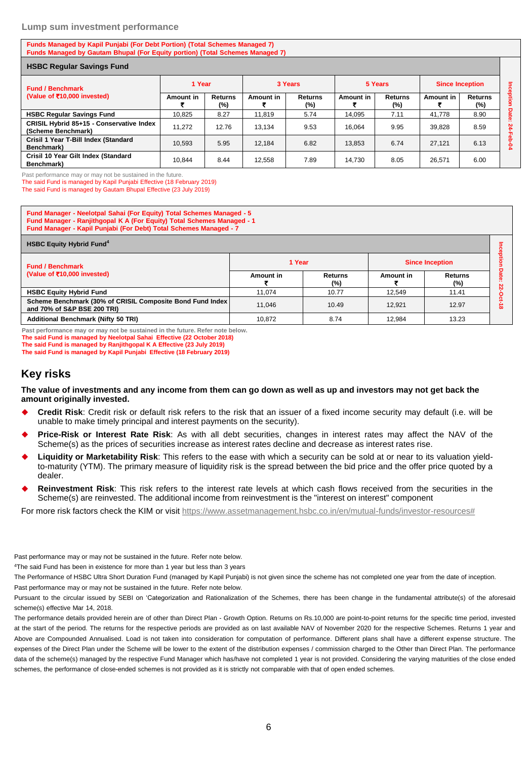#### **Lump sum investment performance**

**Funds Managed by Kapil Punjabi (For Debt Portion) (Total Schemes Managed 7) Funds Managed by Gautam Bhupal (For Equity portion) (Total Schemes Managed 7)**

| <b>HSBC Regular Savings Fund</b>                               |           |                |           |                          |                  |                       |                        |                       |              |
|----------------------------------------------------------------|-----------|----------------|-----------|--------------------------|------------------|-----------------------|------------------------|-----------------------|--------------|
| <b>Fund / Benchmark</b>                                        | 1 Year    |                | 3 Years   |                          | 5 Years          |                       | <b>Since Inception</b> |                       |              |
| (Value of ₹10,000 invested)                                    | Amount in | Returns<br>(%) | Amount in | <b>Returns</b><br>$(\%)$ | <b>Amount in</b> | <b>Returns</b><br>(%) | Amount in              | <b>Returns</b><br>(%) | Inception    |
| <b>HSBC Regular Savings Fund</b>                               | 10.825    | 8.27           | 11.819    | 5.74                     | 14.095           | 7.11                  | 41.778                 | 8.90                  | <b>Date:</b> |
| CRISIL Hybrid 85+15 - Conservative Index<br>(Scheme Benchmark) | 11.272    | 12.76          | 13.134    | 9.53                     | 16.064           | 9.95                  | 39.828                 | 8.59                  | జ<br>╖       |
| Crisil 1 Year T-Bill Index (Standard<br>Benchmark)             | 10.593    | 5.95           | 12.184    | 6.82                     | 13.853           | 6.74                  | 27.121                 | 6.13                  |              |
| Crisil 10 Year Gilt Index (Standard<br>Benchmark)              | 10.844    | 8.44           | 12.558    | 7.89                     | 14.730           | 8.05                  | 26,571                 | 6.00                  |              |

Past performance may or may not be sustained in the future.

The said Fund is managed by Kapil Punjabi Effective (18 February 2019)

The said Fund is managed by Gautam Bhupal Effective (23 July 2019)

**Fund Manager - Neelotpal Sahai (For Equity) Total Schemes Managed - 5 Fund Manager - Ranjithgopal K A (For Equity) Total Schemes Managed - 1 Fund Manager - Kapil Punjabi (For Debt) Total Schemes Managed - 7**

| <b>HSBC Equity Hybrid Fund<sup>4</sup></b>                                               |           |                |           |                          |          |  |  |  |  |
|------------------------------------------------------------------------------------------|-----------|----------------|-----------|--------------------------|----------|--|--|--|--|
| <b>Fund / Benchmark</b>                                                                  | 1 Year    |                |           | <b>Since Inception</b>   |          |  |  |  |  |
| (Value of ₹10,000 invested)                                                              | Amount in | Returns<br>(%) | Amount in | <b>Returns</b><br>$(\%)$ |          |  |  |  |  |
| <b>HSBC Equity Hybrid Fund</b>                                                           | 11.074    | 10.77          | 12.549    | 11.41                    |          |  |  |  |  |
| Scheme Benchmark (30% of CRISIL Composite Bond Fund Index<br>and 70% of S&P BSE 200 TRI) | 11.046    | 10.49          | 12.921    | 12.97                    | $\infty$ |  |  |  |  |
| <b>Additional Benchmark (Nifty 50 TRI)</b>                                               | 10.872    | 8.74           | 12.984    | 13.23                    |          |  |  |  |  |

**Past performance may or may not be sustained in the future. Refer note below. The said Fund is managed by Neelotpal Sahai Effective (22 October 2018) The said Fund is managed by Ranjithgopal K A Effective (23 July 2019)**

**The said Fund is managed by Kapil Punjabi Effective (18 February 2019)**

#### **Key risks**

**The value of investments and any income from them can go down as well as up and investors may not get back the amount originally invested.** 

- **Credit Risk**: Credit risk or default risk refers to the risk that an issuer of a fixed income security may default (i.e. will be unable to make timely principal and interest payments on the security).
- **Price-Risk or Interest Rate Risk**: As with all debt securities, changes in interest rates may affect the NAV of the Scheme(s) as the prices of securities increase as interest rates decline and decrease as interest rates rise.
- **Liquidity or Marketability Risk**: This refers to the ease with which a security can be sold at or near to its valuation yieldto-maturity (YTM). The primary measure of liquidity risk is the spread between the bid price and the offer price quoted by a dealer.
- **Reinvestment Risk**: This risk refers to the interest rate levels at which cash flows received from the securities in the Scheme(s) are reinvested. The additional income from reinvestment is the "interest on interest" component

For more risk factors check the KIM or visit [https://www.assetmanagement.hsbc.co.in/en/mutual-funds/investor-resources#](https://www.assetmanagement.hsbc.co.in/en/mutual-funds/investor-resources)

Past performance may or may not be sustained in the future. Refer note below.

<sup>4</sup>The said Fund has been in existence for more than 1 year but less than 3 years

The Performance of HSBC Ultra Short Duration Fund (managed by Kapil Punjabi) is not given since the scheme has not completed one year from the date of inception. Past performance may or may not be sustained in the future. Refer note below.

Pursuant to the circular issued by SEBI on 'Categorization and Rationalization of the Schemes, there has been change in the fundamental attribute(s) of the aforesaid scheme(s) effective Mar 14, 2018.

The performance details provided herein are of other than Direct Plan - Growth Option. Returns on Rs.10,000 are point-to-point returns for the specific time period, invested at the start of the period. The returns for the respective periods are provided as on last available NAV of November 2020 for the respective Schemes. Returns 1 year and Above are Compounded Annualised. Load is not taken into consideration for computation of performance. Different plans shall have a different expense structure. The expenses of the Direct Plan under the Scheme will be lower to the extent of the distribution expenses / commission charged to the Other than Direct Plan. The performance data of the scheme(s) managed by the respective Fund Manager which has/have not completed 1 year is not provided. Considering the varying maturities of the close ended schemes, the performance of close-ended schemes is not provided as it is strictly not comparable with that of open ended schemes.